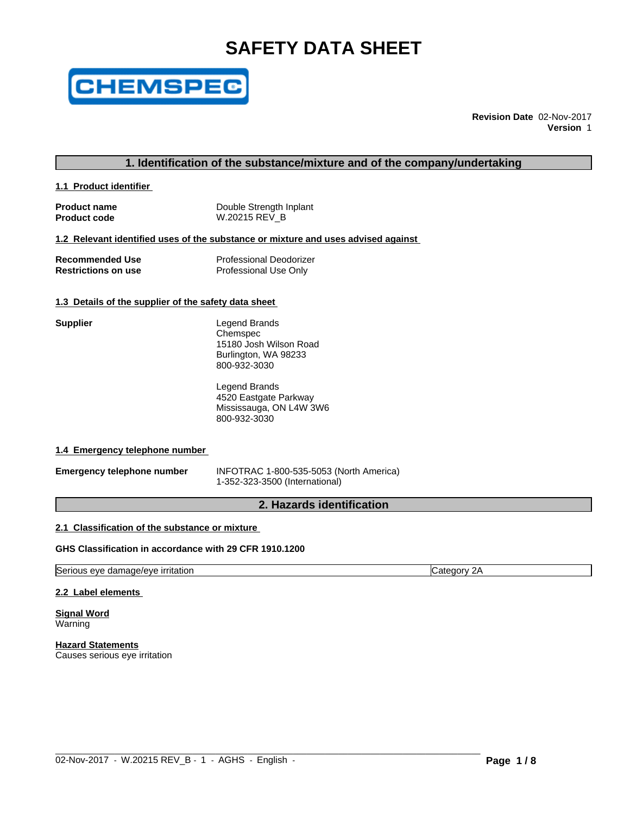# **SAFETY DATA SHEET**



**Revision Date** 02-Nov-2017 **Version** 1

### **1. Identification of the substance/mixture and of the company/undertaking**

**1.1 Product identifier** 

| <b>Product name</b> | Double Strength Inplant |
|---------------------|-------------------------|
| <b>Product code</b> | W.20215 REV B           |

#### **1.2 Relevant identified uses of the substance or mixture and uses advised against**

| <b>Recommended Use</b>     | <b>Professional Deodorizer</b> |
|----------------------------|--------------------------------|
| <b>Restrictions on use</b> | Professional Use Only          |

#### **1.3 Details of the supplier of the safety data sheet**

| Supplier | Legend Brands          |
|----------|------------------------|
|          | Chemspec               |
|          | 15180 Josh Wilson Road |
|          | Burlington, WA 98233   |
|          | 800-932-3030           |
|          |                        |

Legend Brands 4520 Eastgate Parkway Mississauga, ON L4W 3W6 800-932-3030

#### **1.4 Emergency telephone number**

**Emergency telephone number** INFOTRAC 1-800-535-5053 (North America) 1-352-323-3500 (International)

 $\_$  ,  $\_$  ,  $\_$  ,  $\_$  ,  $\_$  ,  $\_$  ,  $\_$  ,  $\_$  ,  $\_$  ,  $\_$  ,  $\_$  ,  $\_$  ,  $\_$  ,  $\_$  ,  $\_$  ,  $\_$  ,  $\_$  ,  $\_$  ,  $\_$  ,  $\_$  ,  $\_$  ,  $\_$  ,  $\_$  ,  $\_$  ,  $\_$  ,  $\_$  ,  $\_$  ,  $\_$  ,  $\_$  ,  $\_$  ,  $\_$  ,  $\_$  ,  $\_$  ,  $\_$  ,  $\_$  ,  $\_$  ,  $\_$  ,

### **2. Hazards identification**

### **2.1 Classification of the substance or mixture**

#### **GHS Classification in accordance with 29 CFR 1910.1200**

Serious eye damage/eye irritation **Category 2A** Category 2A

#### **2.2 Label elements**

**Signal Word** Warning

**Hazard Statements** Causes serious eye irritation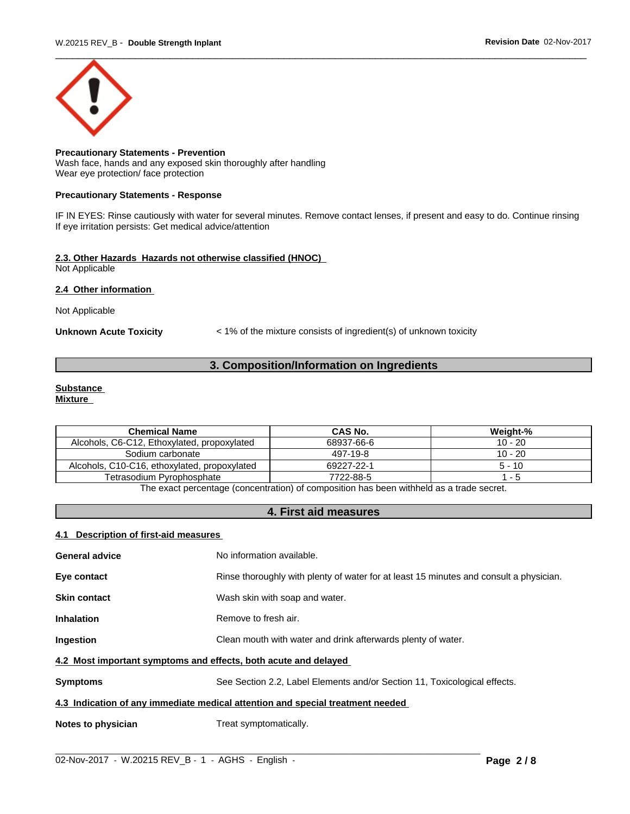

**Precautionary Statements - Prevention** Wash face, hands and any exposed skin thoroughly after handling Wear eye protection/ face protection

#### **Precautionary Statements - Response**

IF IN EYES: Rinse cautiously with water for several minutes. Remove contact lenses, if present and easy to do. Continue rinsing If eye irritation persists: Get medical advice/attention

#### **2.3. Other Hazards Hazards not otherwise classified (HNOC)** Not Applicable

#### **2.4 Other information**

Not Applicable

**Unknown Acute Toxicity** < 1% of the mixture consists of ingredient(s) of unknown toxicity

### **3. Composition/Information on Ingredients**

#### **Substance Mixture**

| <b>Chemical Name</b>                         | CAS No.    | Weight-%  |  |  |
|----------------------------------------------|------------|-----------|--|--|
| Alcohols, C6-C12, Ethoxylated, propoxylated  | 68937-66-6 | $10 - 20$ |  |  |
| Sodium carbonate                             | 497-19-8   | $10 - 20$ |  |  |
| Alcohols, C10-C16, ethoxylated, propoxylated | 69227-22-1 | $5 - 10$  |  |  |
| Tetrasodium Pyrophosphate                    | 7722-88-5  | - 5       |  |  |
| $- \cdot$<br>.<br>.<br>.                     |            |           |  |  |

The exact percentage (concentration) of composition has been withheld as a trade secret.

### **4. First aid measures**

#### **4.1 Description of first-aid measures**

| <b>General advice</b>                                                          | No information available.                                                              |  |  |
|--------------------------------------------------------------------------------|----------------------------------------------------------------------------------------|--|--|
| Eye contact                                                                    | Rinse thoroughly with plenty of water for at least 15 minutes and consult a physician. |  |  |
| <b>Skin contact</b>                                                            | Wash skin with soap and water.                                                         |  |  |
| <b>Inhalation</b>                                                              | Remove to fresh air.                                                                   |  |  |
| Ingestion                                                                      | Clean mouth with water and drink afterwards plenty of water.                           |  |  |
| 4.2 Most important symptoms and effects, both acute and delayed                |                                                                                        |  |  |
| <b>Symptoms</b>                                                                | See Section 2.2, Label Elements and/or Section 11, Toxicological effects.              |  |  |
| 4.3 Indication of any immediate medical attention and special treatment needed |                                                                                        |  |  |
| Notes to physician                                                             | Treat symptomatically.                                                                 |  |  |

 $\_$  ,  $\_$  ,  $\_$  ,  $\_$  ,  $\_$  ,  $\_$  ,  $\_$  ,  $\_$  ,  $\_$  ,  $\_$  ,  $\_$  ,  $\_$  ,  $\_$  ,  $\_$  ,  $\_$  ,  $\_$  ,  $\_$  ,  $\_$  ,  $\_$  ,  $\_$  ,  $\_$  ,  $\_$  ,  $\_$  ,  $\_$  ,  $\_$  ,  $\_$  ,  $\_$  ,  $\_$  ,  $\_$  ,  $\_$  ,  $\_$  ,  $\_$  ,  $\_$  ,  $\_$  ,  $\_$  ,  $\_$  ,  $\_$  ,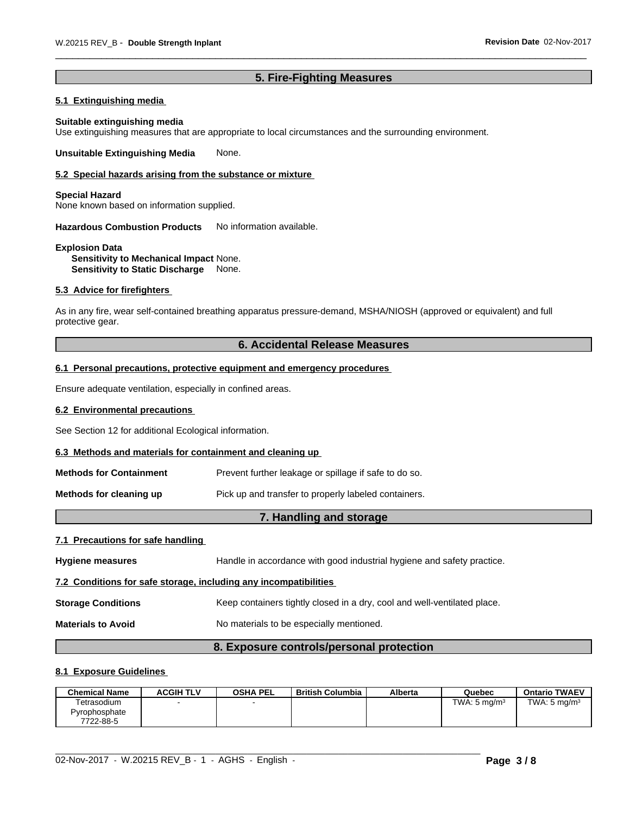### **5. Fire-Fighting Measures**

### **5.1 Extinguishing media**

#### **Suitable extinguishing media**

Use extinguishing measures that are appropriate to local circumstances and the surrounding environment.

**Unsuitable Extinguishing Media** None.

#### **5.2 Special hazards arising from the substance or mixture**

#### **Special Hazard**

None known based on information supplied.

**Hazardous Combustion Products** No information available.

#### **Explosion Data Sensitivity to Mechanical Impact** None. **Sensitivity to Static Discharge** None.

#### **5.3 Advice for firefighters**

As in any fire, wear self-contained breathing apparatus pressure-demand, MSHA/NIOSH (approved or equivalent) and full protective gear.

### **6. Accidental Release Measures**

#### **6.1 Personal precautions, protective equipment and emergency procedures**

Ensure adequate ventilation, especially in confined areas.

#### **6.2 Environmental precautions**

See Section 12 for additional Ecological information.

#### **6.3 Methods and materials for containment and cleaning up**

| Methods for Containment | Prevent further leakage or spillage if safe to do so. |
|-------------------------|-------------------------------------------------------|
|-------------------------|-------------------------------------------------------|

**Methods for cleaning up Pick** up and transfer to properly labeled containers.

### **7. Handling and storage**

#### **7.1 Precautions for safe handling**

| <b>Hygiene measures</b>                                          | Handle in accordance with good industrial hygiene and safety practice.   |
|------------------------------------------------------------------|--------------------------------------------------------------------------|
| 7.2 Conditions for safe storage, including any incompatibilities |                                                                          |
| <b>Storage Conditions</b>                                        | Keep containers tightly closed in a dry, cool and well-ventilated place. |
| <b>Materials to Avoid</b>                                        | No materials to be especially mentioned.                                 |
|                                                                  |                                                                          |

## **8. Exposure controls/personal protection**

#### **8.1 Exposure Guidelines**

| <b>Chemical Name</b> | <b>ACGIH TLV</b> | <b>OSHA PEL</b> | <b>British Columbia</b> | <b>Alberta</b> | Quebec                  | <b>Ontario TWAEV</b>    |
|----------------------|------------------|-----------------|-------------------------|----------------|-------------------------|-------------------------|
| Tetrasodium          |                  |                 |                         |                | TWA: $5 \text{ mg/m}^3$ | TWA: $5 \text{ mg/m}^3$ |
| Pyrophosphate        |                  |                 |                         |                |                         |                         |
| 7722-88-5            |                  |                 |                         |                |                         |                         |

 $\_$  ,  $\_$  ,  $\_$  ,  $\_$  ,  $\_$  ,  $\_$  ,  $\_$  ,  $\_$  ,  $\_$  ,  $\_$  ,  $\_$  ,  $\_$  ,  $\_$  ,  $\_$  ,  $\_$  ,  $\_$  ,  $\_$  ,  $\_$  ,  $\_$  ,  $\_$  ,  $\_$  ,  $\_$  ,  $\_$  ,  $\_$  ,  $\_$  ,  $\_$  ,  $\_$  ,  $\_$  ,  $\_$  ,  $\_$  ,  $\_$  ,  $\_$  ,  $\_$  ,  $\_$  ,  $\_$  ,  $\_$  ,  $\_$  ,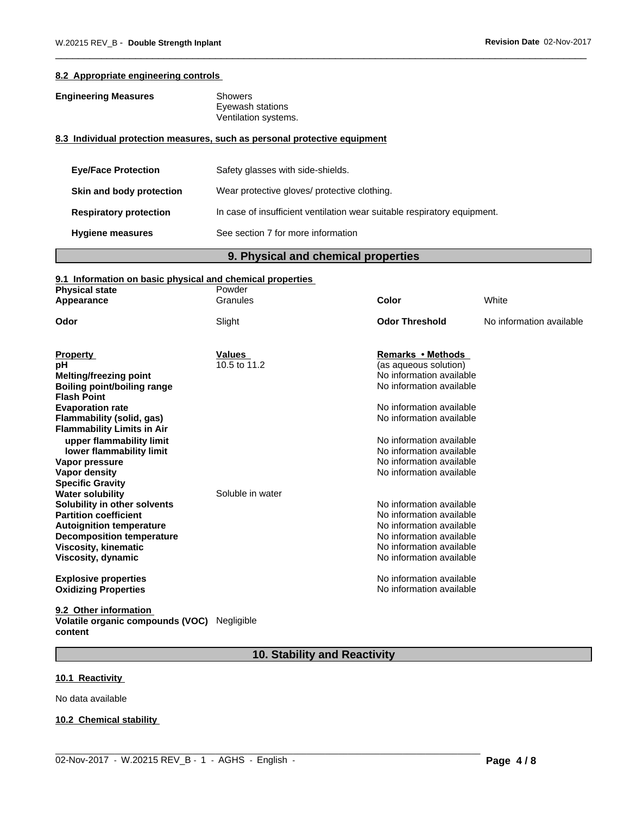#### **8.2 Appropriate engineering controls**

### **Engineering Measures** Showers

Eyewash stations Ventilation systems.

### **8.3 Individual protection measures, such as personal protective equipment**

| <b>Eye/Face Protection</b>    | Safety glasses with side-shields.                                        |
|-------------------------------|--------------------------------------------------------------------------|
| Skin and body protection      | Wear protective gloves/ protective clothing.                             |
| <b>Respiratory protection</b> | In case of insufficient ventilation wear suitable respiratory equipment. |
| <b>Hygiene measures</b>       | See section 7 for more information                                       |

### **9. Physical and chemical properties**

### **9.1 Information on basic physical and chemical properties**

| <b>Physical state</b>             | Powder           |                          |                          |
|-----------------------------------|------------------|--------------------------|--------------------------|
| Appearance                        | Granules         | Color                    | White                    |
| Odor                              | Slight           | <b>Odor Threshold</b>    | No information available |
|                                   |                  |                          |                          |
| <b>Property</b>                   | Values           | Remarks • Methods        |                          |
| рH                                | 10.5 to 11.2     | (as aqueous solution)    |                          |
| Melting/freezing point            |                  | No information available |                          |
| Boiling point/boiling range       |                  | No information available |                          |
| <b>Flash Point</b>                |                  |                          |                          |
| <b>Evaporation rate</b>           |                  | No information available |                          |
| Flammability (solid, gas)         |                  | No information available |                          |
| <b>Flammability Limits in Air</b> |                  |                          |                          |
| upper flammability limit          |                  | No information available |                          |
| lower flammability limit          |                  | No information available |                          |
| Vapor pressure                    |                  | No information available |                          |
| Vapor density                     |                  | No information available |                          |
| <b>Specific Gravity</b>           |                  |                          |                          |
| <b>Water solubility</b>           | Soluble in water |                          |                          |
| Solubility in other solvents      |                  | No information available |                          |
| <b>Partition coefficient</b>      |                  | No information available |                          |
| <b>Autoignition temperature</b>   |                  | No information available |                          |
| <b>Decomposition temperature</b>  |                  | No information available |                          |
| <b>Viscosity, kinematic</b>       |                  | No information available |                          |
| Viscosity, dynamic                |                  | No information available |                          |
| <b>Explosive properties</b>       |                  | No information available |                          |
| <b>Oxidizing Properties</b>       |                  | No information available |                          |
| .                                 |                  |                          |                          |

#### **9.2 Other information Volatile organic compounds (VOC)** Negligible **content**

### **10. Stability and Reactivity**

 $\_$  ,  $\_$  ,  $\_$  ,  $\_$  ,  $\_$  ,  $\_$  ,  $\_$  ,  $\_$  ,  $\_$  ,  $\_$  ,  $\_$  ,  $\_$  ,  $\_$  ,  $\_$  ,  $\_$  ,  $\_$  ,  $\_$  ,  $\_$  ,  $\_$  ,  $\_$  ,  $\_$  ,  $\_$  ,  $\_$  ,  $\_$  ,  $\_$  ,  $\_$  ,  $\_$  ,  $\_$  ,  $\_$  ,  $\_$  ,  $\_$  ,  $\_$  ,  $\_$  ,  $\_$  ,  $\_$  ,  $\_$  ,  $\_$  ,

### **10.1 Reactivity**

No data available

#### **10.2 Chemical stability**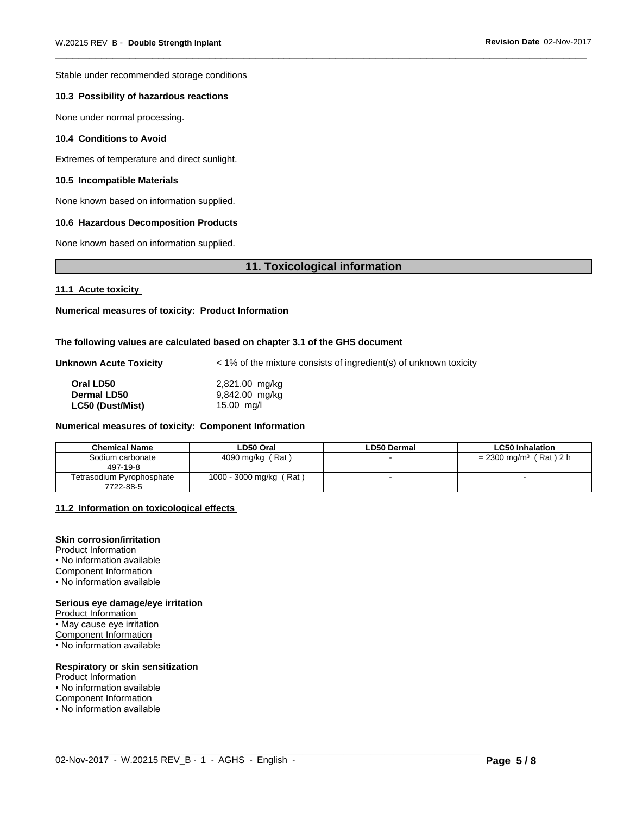Stable under recommended storage conditions

#### **10.3 Possibility of hazardous reactions**

None under normal processing.

#### **10.4 Conditions to Avoid**

Extremes of temperature and direct sunlight.

#### **10.5 Incompatible Materials**

None known based on information supplied.

#### **10.6 Hazardous Decomposition Products**

None known based on information supplied.

### **11. Toxicological information**

#### **11.1 Acute toxicity**

#### **Numerical measures of toxicity: Product Information**

#### **The following values are calculated based on chapter 3.1 of the GHS document**

| <b>Unknown Acute Toxicity</b> |  |
|-------------------------------|--|
|                               |  |

**Unknown Acute Toxicity** < 1% of the mixtureconsists of ingredient(s) of unknown toxicity

| Oral LD50               | 2,821.00 mg/kg |  |
|-------------------------|----------------|--|
| Dermal LD50             | 9,842.00 mg/kg |  |
| <b>LC50 (Dust/Mist)</b> | $15.00$ mg/l   |  |

#### **Numerical measures of toxicity: Component Information**

| <b>Chemical Name</b>                   | LD50 Oral                    | LD50 Dermal | <b>LC50 Inhalation</b>               |
|----------------------------------------|------------------------------|-------------|--------------------------------------|
| Sodium carbonate<br>497-19-8           | 4090 mg/kg (Rat)             |             | $= 2300$ mg/m <sup>3</sup> (Rat) 2 h |
| Tetrasodium Pyrophosphate<br>7722-88-5 | (Rat)<br>1000 - 3000 mg/kg ( |             |                                      |

 $\_$  ,  $\_$  ,  $\_$  ,  $\_$  ,  $\_$  ,  $\_$  ,  $\_$  ,  $\_$  ,  $\_$  ,  $\_$  ,  $\_$  ,  $\_$  ,  $\_$  ,  $\_$  ,  $\_$  ,  $\_$  ,  $\_$  ,  $\_$  ,  $\_$  ,  $\_$  ,  $\_$  ,  $\_$  ,  $\_$  ,  $\_$  ,  $\_$  ,  $\_$  ,  $\_$  ,  $\_$  ,  $\_$  ,  $\_$  ,  $\_$  ,  $\_$  ,  $\_$  ,  $\_$  ,  $\_$  ,  $\_$  ,  $\_$  ,

#### **11.2 Information on toxicologicaleffects**

### **Skin corrosion/irritation**

Product Information • No information available Component Information • No information available

#### **Serious eye damage/eye irritation**

Product Information • May cause eye irritation Component Information • No information available

#### **Respiratory or skin sensitization**

- Product Information
- No information available
- Component Information
- No information available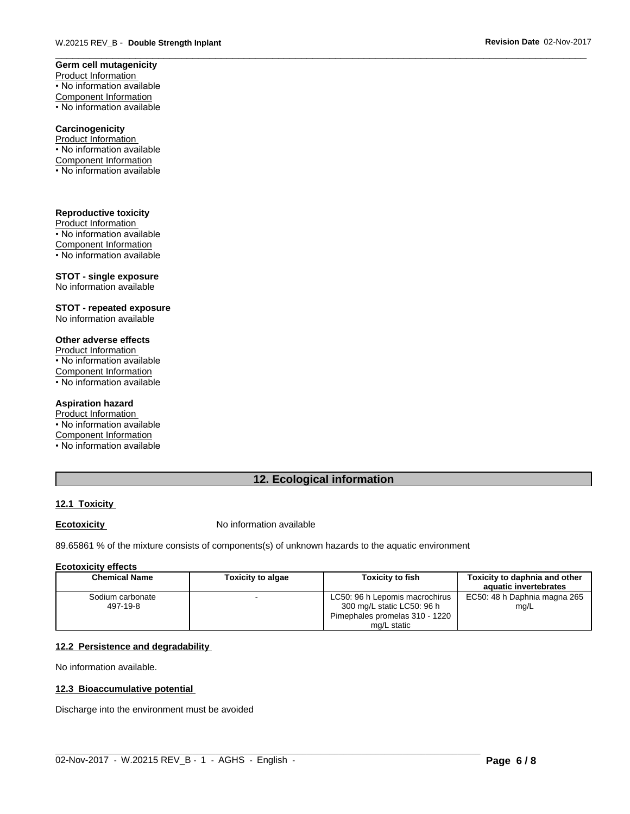### **Germ cell mutagenicity**

Product Information • No information available Component Information • No information available

#### **Carcinogenicity**

Product Information • No information available Component Information • No information available

#### **Reproductive toxicity**

Product Information • No information available Component Information • No information available

#### **STOT - single exposure**

No information available

#### **STOT - repeated exposure** No information available

### **Other adverse effects**

Product Information • No information available

Component Information

• No information available

#### **Aspiration hazard**

Product Information • No information available

Component Information

• No information available

### **12. Ecological information**

### **12.1 Toxicity**

**Ecotoxicity No information available** 

89.65861 % of the mixture consists of components(s) of unknown hazards to the aquatic environment

#### **Ecotoxicity effects**

| Chemical Name    | <b>Toxicity to algae</b> | <b>Toxicity to fish</b>        | Toxicity to daphnia and other<br>aquatic invertebrates |
|------------------|--------------------------|--------------------------------|--------------------------------------------------------|
| Sodium carbonate |                          | LC50: 96 h Lepomis macrochirus | EC50: 48 h Daphnia magna 265                           |
| 497-19-8         |                          | 300 mg/L static LC50: 96 h     | mg/L                                                   |
|                  |                          | Pimephales promelas 310 - 1220 |                                                        |
|                  |                          | mg/L static                    |                                                        |

 $\_$  ,  $\_$  ,  $\_$  ,  $\_$  ,  $\_$  ,  $\_$  ,  $\_$  ,  $\_$  ,  $\_$  ,  $\_$  ,  $\_$  ,  $\_$  ,  $\_$  ,  $\_$  ,  $\_$  ,  $\_$  ,  $\_$  ,  $\_$  ,  $\_$  ,  $\_$  ,  $\_$  ,  $\_$  ,  $\_$  ,  $\_$  ,  $\_$  ,  $\_$  ,  $\_$  ,  $\_$  ,  $\_$  ,  $\_$  ,  $\_$  ,  $\_$  ,  $\_$  ,  $\_$  ,  $\_$  ,  $\_$  ,  $\_$  ,

#### **12.2 Persistence and degradability**

No information available.

#### **12.3 Bioaccumulative potential**

Discharge into the environment must be avoided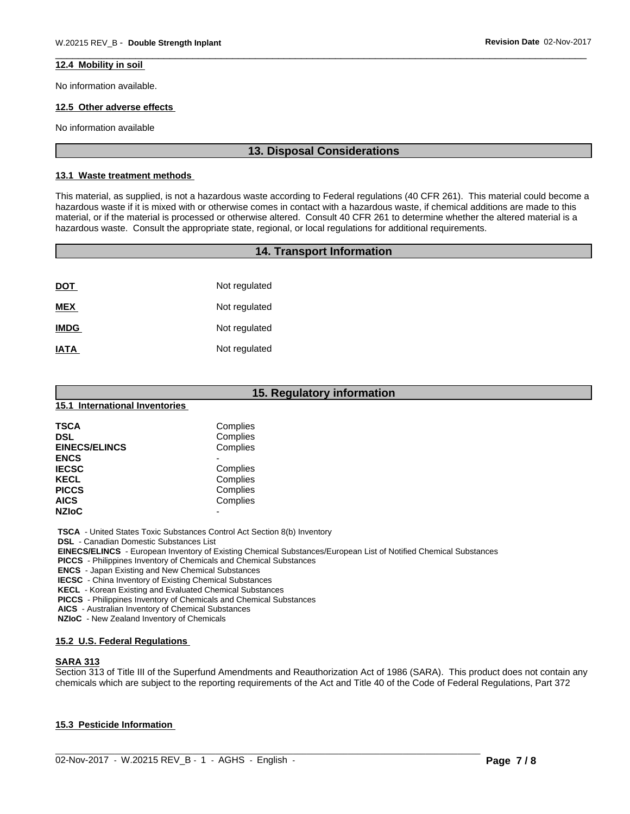#### **12.4 Mobility in soil**

No information available.

### **12.5 Other adverse effects**

No information available

#### **13. Disposal Considerations**

#### **13.1 Waste treatment methods**

This material, as supplied, is not a hazardous waste according to Federal regulations (40 CFR 261). This material could become a hazardous waste if it is mixed with or otherwise comes in contact with a hazardous waste, if chemical additions are made to this material, or if the material is processed or otherwise altered. Consult 40 CFR 261 to determine whether the altered material is a hazardous waste. Consult the appropriate state, regional, or local regulations for additional requirements.

|             | <b>14. Transport Information</b> |  |
|-------------|----------------------------------|--|
|             |                                  |  |
| <b>DOT</b>  | Not regulated                    |  |
| <b>MEX</b>  | Not regulated                    |  |
| <b>IMDG</b> | Not regulated                    |  |
| <b>IATA</b> | Not regulated                    |  |
|             |                                  |  |

|                                                | 15. Regulatory information                                                      |  |  |
|------------------------------------------------|---------------------------------------------------------------------------------|--|--|
| 15.1 International Inventories                 |                                                                                 |  |  |
| <b>TSCA</b>                                    | Complies                                                                        |  |  |
| <b>DSL</b>                                     | Complies                                                                        |  |  |
| <b>EINECS/ELINCS</b>                           | Complies                                                                        |  |  |
| <b>ENCS</b>                                    |                                                                                 |  |  |
| <b>IECSC</b>                                   | Complies                                                                        |  |  |
| <b>KECL</b>                                    | Complies                                                                        |  |  |
| <b>PICCS</b>                                   | Complies                                                                        |  |  |
| <b>AICS</b>                                    | Complies                                                                        |  |  |
| <b>NZIoC</b>                                   |                                                                                 |  |  |
|                                                | <b>TSCA</b> - United States Toxic Substances Control Act Section 8(b) Inventory |  |  |
| <b>DSL</b> - Canadian Domestic Substances List |                                                                                 |  |  |

 **EINECS/ELINCS** - European Inventory of Existing Chemical Substances/European List of Notified Chemical Substances

 **PICCS** - Philippines Inventory of Chemicals and Chemical Substances

 **ENCS** - Japan Existing and New Chemical Substances

 **IECSC** - China Inventory of Existing Chemical Substances

 **KECL** - Korean Existing and Evaluated Chemical Substances

 **PICCS** - Philippines Inventory of Chemicals and Chemical Substances

 **AICS** - Australian Inventory of Chemical Substances

 **NZIoC** - New Zealand Inventory of Chemicals

#### **15.2 U.S. Federal Regulations**

### **SARA 313**

Section 313 of Title III of the Superfund Amendments and Reauthorization Act of 1986 (SARA). This product does not contain any chemicals which are subject to the reporting requirements of the Act and Title 40 of the Code of Federal Regulations, Part 372

 $\_$  ,  $\_$  ,  $\_$  ,  $\_$  ,  $\_$  ,  $\_$  ,  $\_$  ,  $\_$  ,  $\_$  ,  $\_$  ,  $\_$  ,  $\_$  ,  $\_$  ,  $\_$  ,  $\_$  ,  $\_$  ,  $\_$  ,  $\_$  ,  $\_$  ,  $\_$  ,  $\_$  ,  $\_$  ,  $\_$  ,  $\_$  ,  $\_$  ,  $\_$  ,  $\_$  ,  $\_$  ,  $\_$  ,  $\_$  ,  $\_$  ,  $\_$  ,  $\_$  ,  $\_$  ,  $\_$  ,  $\_$  ,  $\_$  ,

#### **15.3 Pesticide Information**